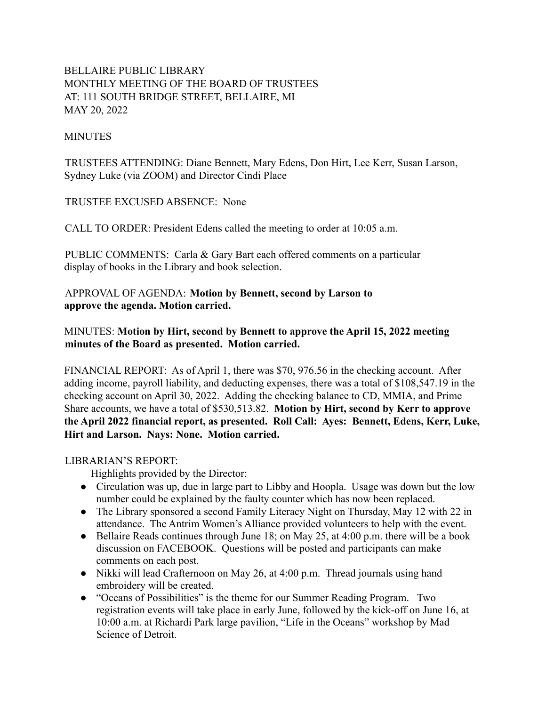# BELLAIRE PUBLIC LIBRARY MONTHLY MEETING OF THE BOARD OF TRUSTEES AT: 111 SOUTH BRIDGE STREET, BELLAIRE, MI MAY 20, 2022

#### **MINUTES**

TRUSTEES ATTENDING: Diane Bennett, Mary Edens, Don Hirt, Lee Kerr, Susan Larson, Sydney Luke (via ZOOM) and Director Cindi Place

TRUSTEE EXCUSED ABSENCE: None

CALL TO ORDER: President Edens called the meeting to order at 10:05 a.m.

PUBLIC COMMENTS: Carla & Gary Bart each offered comments on a particular display of books in the Library and book selection.

APPROVAL OF AGENDA: **Motion by Bennett, second by Larson to approve the agenda. Motion carried.**

MINUTES: **Motion by Hirt, second by Bennett to approve the April 15, 2022 meeting minutes of the Board as presented. Motion carried.**

FINANCIAL REPORT: As of April 1, there was \$70, 976.56 in the checking account. After adding income, payroll liability, and deducting expenses, there was a total of \$108,547.19 in the checking account on April 30, 2022. Adding the checking balance to CD, MMIA, and Prime Share accounts, we have a total of \$530,513.82. **Motion by Hirt, second by Kerr to approve the April 2022 financial report, as presented. Roll Call: Ayes: Bennett, Edens, Kerr, Luke, Hirt and Larson. Nays: None. Motion carried.**

#### LIBRARIAN'S REPORT:

Highlights provided by the Director:

- Circulation was up, due in large part to Libby and Hoopla. Usage was down but the low number could be explained by the faulty counter which has now been replaced.
- The Library sponsored a second Family Literacy Night on Thursday, May 12 with 22 in attendance. The Antrim Women's Alliance provided volunteers to help with the event.
- Bellaire Reads continues through June 18; on May 25, at 4:00 p.m. there will be a book discussion on FACEBOOK. Questions will be posted and participants can make comments on each post.
- Nikki will lead Crafternoon on May 26, at 4:00 p.m. Thread journals using hand embroidery will be created.
- "Oceans of Possibilities" is the theme for our Summer Reading Program. Two registration events will take place in early June, followed by the kick-off on June 16, at 10:00 a.m. at Richardi Park large pavilion, "Life in the Oceans" workshop by Mad Science of Detroit.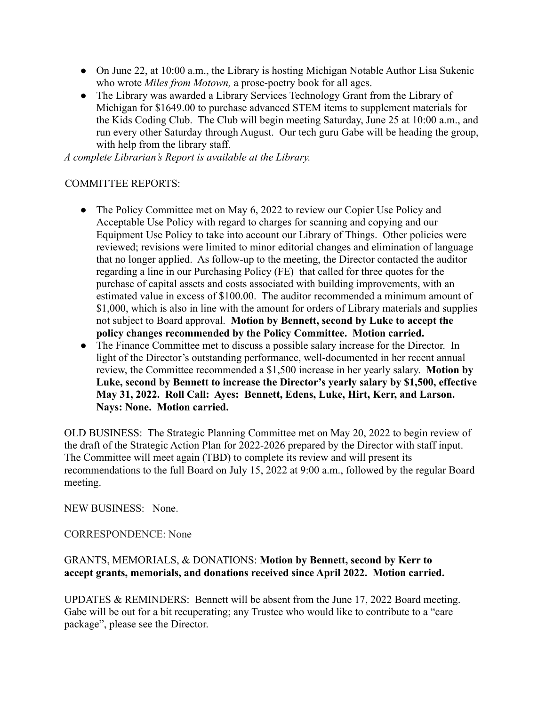- On June 22, at 10:00 a.m., the Library is hosting Michigan Notable Author Lisa Sukenic who wrote *Miles from Motown,* a prose-poetry book for all ages.
- The Library was awarded a Library Services Technology Grant from the Library of Michigan for \$1649.00 to purchase advanced STEM items to supplement materials for the Kids Coding Club. The Club will begin meeting Saturday, June 25 at 10:00 a.m., and run every other Saturday through August. Our tech guru Gabe will be heading the group, with help from the library staff.

*A complete Librarian's Report is available at the Library.*

### COMMITTEE REPORTS:

- The Policy Committee met on May 6, 2022 to review our Copier Use Policy and Acceptable Use Policy with regard to charges for scanning and copying and our Equipment Use Policy to take into account our Library of Things. Other policies were reviewed; revisions were limited to minor editorial changes and elimination of language that no longer applied. As follow-up to the meeting, the Director contacted the auditor regarding a line in our Purchasing Policy (FE) that called for three quotes for the purchase of capital assets and costs associated with building improvements, with an estimated value in excess of \$100.00. The auditor recommended a minimum amount of \$1,000, which is also in line with the amount for orders of Library materials and supplies not subject to Board approval. **Motion by Bennett, second by Luke to accept the policy changes recommended by the Policy Committee. Motion carried.**
- The Finance Committee met to discuss a possible salary increase for the Director. In light of the Director's outstanding performance, well-documented in her recent annual review, the Committee recommended a \$1,500 increase in her yearly salary. **Motion by Luke, second by Bennett to increase the Director's yearly salary by \$1,500, effective May 31, 2022. Roll Call: Ayes: Bennett, Edens, Luke, Hirt, Kerr, and Larson. Nays: None. Motion carried.**

OLD BUSINESS: The Strategic Planning Committee met on May 20, 2022 to begin review of the draft of the Strategic Action Plan for 2022-2026 prepared by the Director with staff input. The Committee will meet again (TBD) to complete its review and will present its recommendations to the full Board on July 15, 2022 at 9:00 a.m., followed by the regular Board meeting.

NEW BUSINESS: None.

CORRESPONDENCE: None

## GRANTS, MEMORIALS, & DONATIONS: **Motion by Bennett, second by Kerr to accept grants, memorials, and donations received since April 2022. Motion carried.**

UPDATES & REMINDERS: Bennett will be absent from the June 17, 2022 Board meeting. Gabe will be out for a bit recuperating; any Trustee who would like to contribute to a "care package", please see the Director.